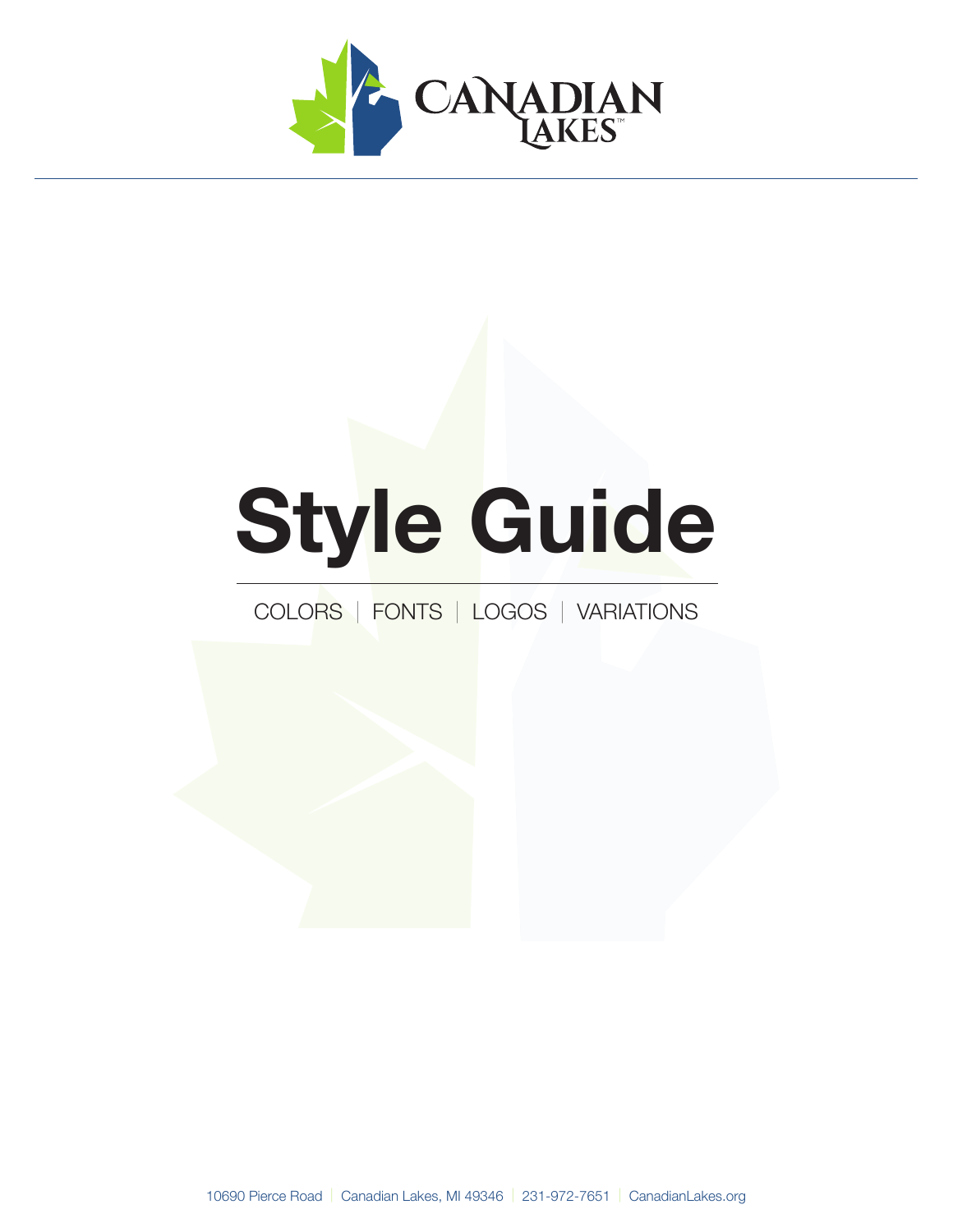

# **Style Guide**

### COLORS | FONTS | LOGOS | VARIATIONS

10690 Pierce Road | Canadian Lakes, MI 49346 | 231-972-7651 | CanadianLakes.org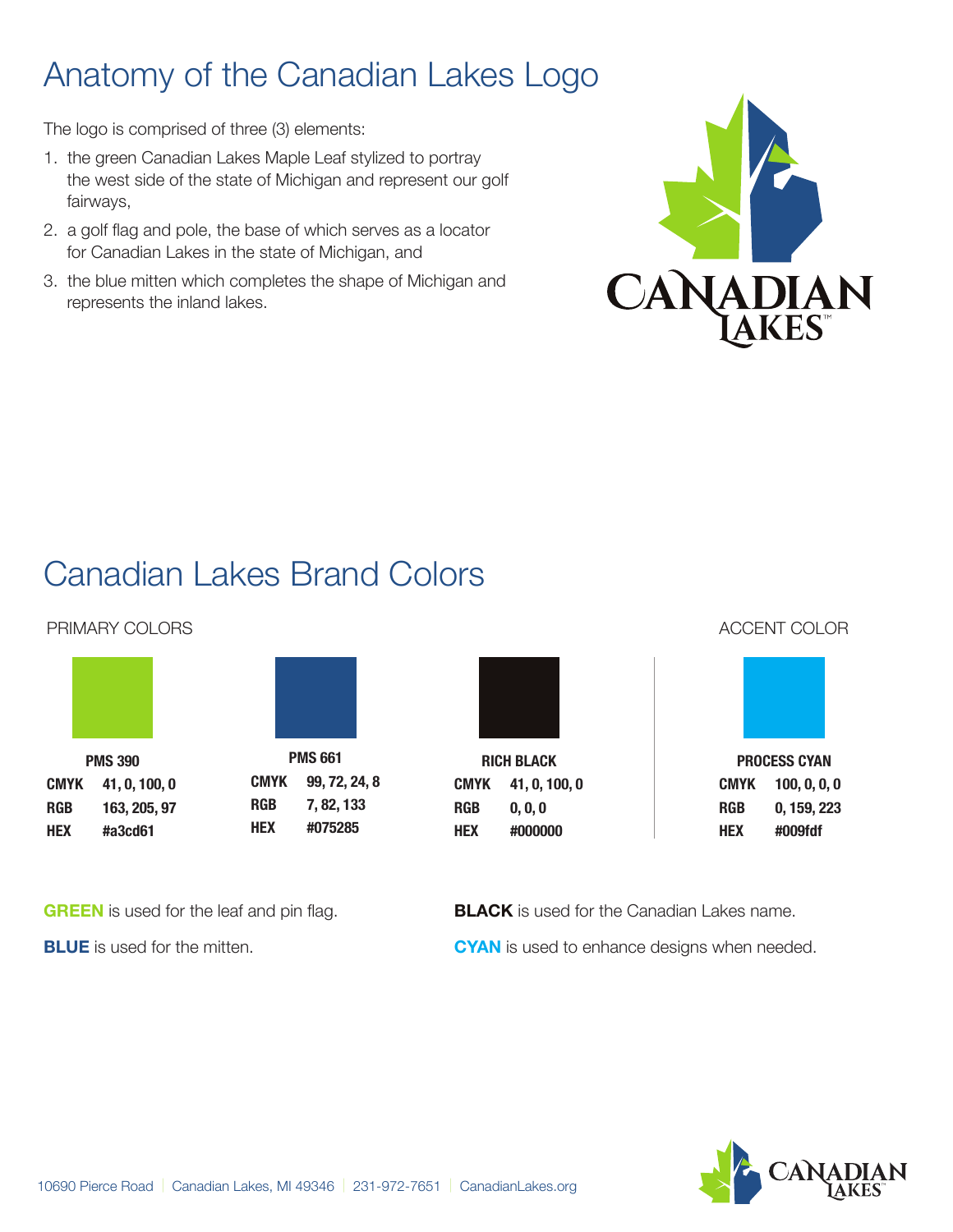### Anatomy of the Canadian Lakes Logo

The logo is comprised of three (3) elements:

- 1. the green Canadian Lakes Maple Leaf stylized to portray the west side of the state of Michigan and represent our golf fairways,
- 2. a golf flag and pole, the base of which serves as a locator for Canadian Lakes in the state of Michigan, and
- 3. the blue mitten which completes the shape of Michigan and represents the inland lakes.



## Canadian Lakes Brand Colors

**PMS 661**

#### PRIMARY COLORS ACCENT COLORS ACCENT COLOR



**PMS 390**

**CMYK 41, 0, 100, 0 RGB 163, 205, 97 HEX #a3cd61 CMYK 99, 72, 24, 8 RGB 7, 82, 133 HEX #075285**



**RICH BLACK CMYK 41, 0, 100, 0 RGB 0, 0, 0 HEX #000000**



**PROCESS CYAN CMYK 100, 0, 0, 0 RGB 0, 159, 223 HEX #009fdf**

**GREEN** is used for the leaf and pin flag.

**BLUE** is used for the mitten.

**BLACK** is used for the Canadian Lakes name. **CYAN** is used to enhance designs when needed.

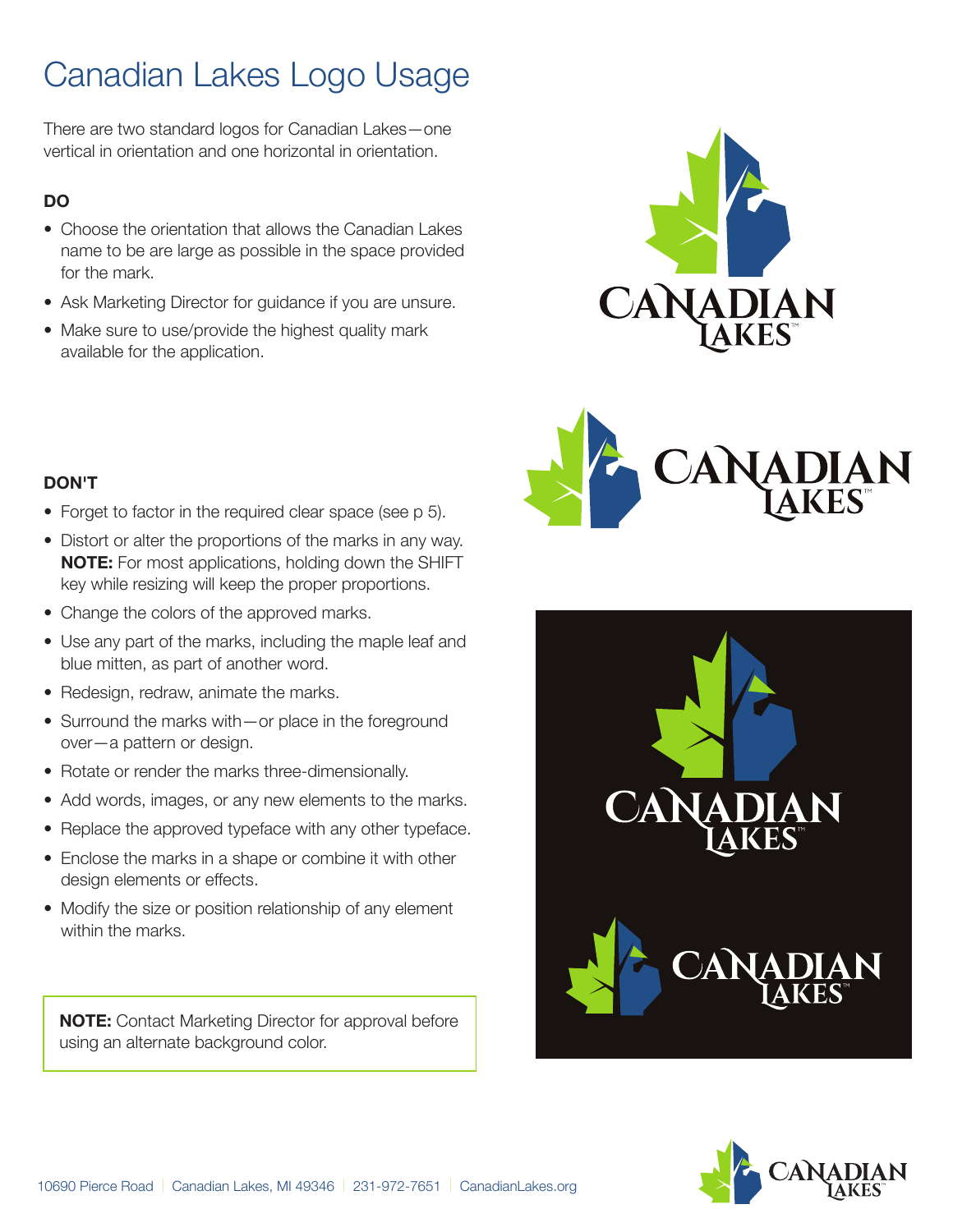## Canadian Lakes Logo Usage

There are two standard logos for Canadian Lakes—one vertical in orientation and one horizontal in orientation.

#### **DO**

- Choose the orientation that allows the Canadian Lakes name to be are large as possible in the space provided for the mark.
- Ask Marketing Director for guidance if you are unsure.
- Make sure to use/provide the highest quality mark available for the application.





#### **DON'T**

- Forget to factor in the required clear space (see p 5).
- Distort or alter the proportions of the marks in any way. **NOTE:** For most applications, holding down the SHIFT key while resizing will keep the proper proportions.
- Change the colors of the approved marks.
- Use any part of the marks, including the maple leaf and blue mitten, as part of another word.
- Redesign, redraw, animate the marks.
- Surround the marks with—or place in the foreground over—a pattern or design.
- Rotate or render the marks three-dimensionally.
- Add words, images, or any new elements to the marks.
- Replace the approved typeface with any other typeface.
- Enclose the marks in a shape or combine it with other design elements or effects.
- Modify the size or position relationship of any element within the marks.

**NOTE:** Contact Marketing Director for approval before using an alternate background color.



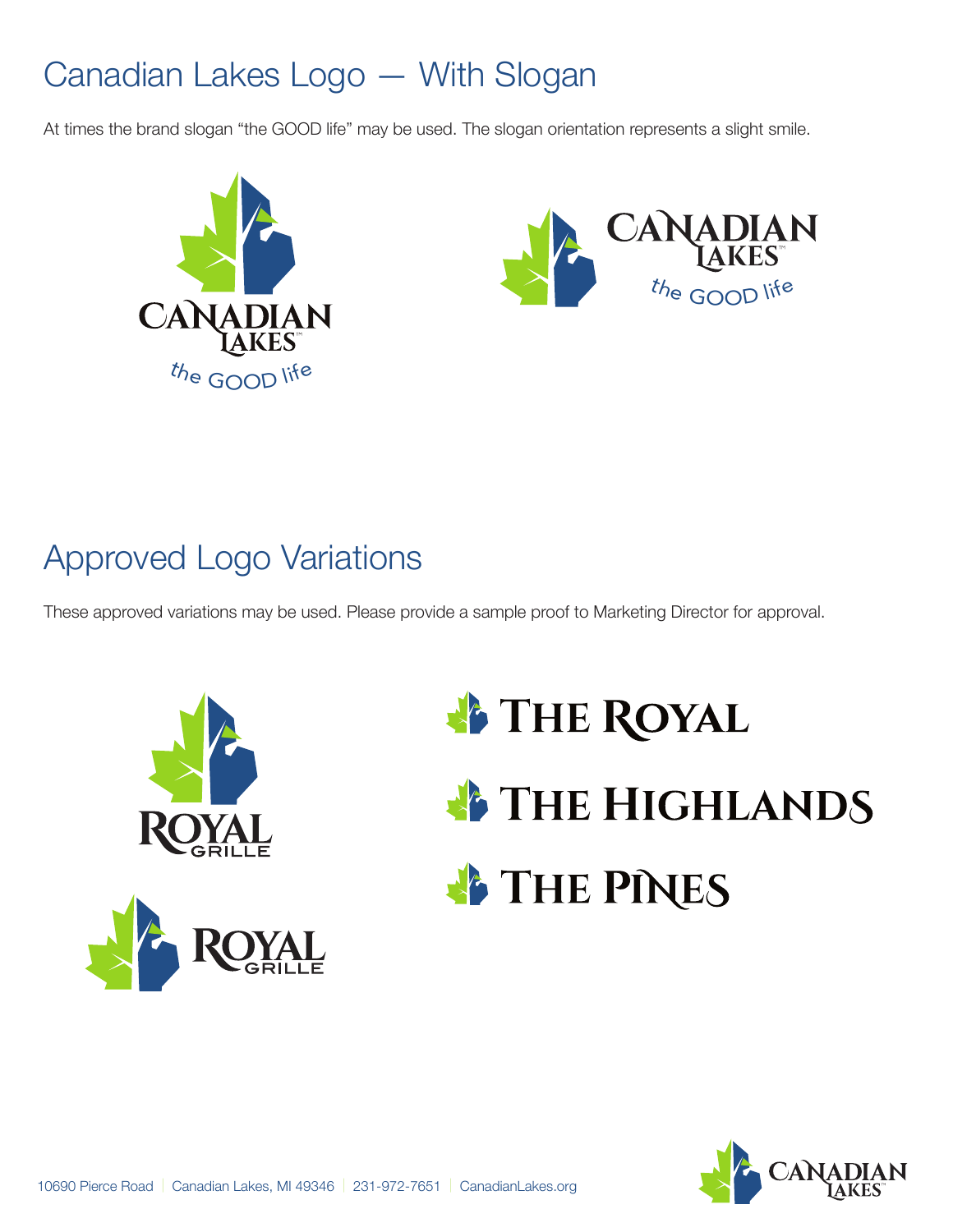### Canadian Lakes Logo — With Slogan

At times the brand slogan "the GOOD life" may be used. The slogan orientation represents a slight smile.





### Approved Logo Variations

These approved variations may be used. Please provide a sample proof to Marketing Director for approval.



## **FIHE ROYAL THE HIGHLANDS FIHE PINES**

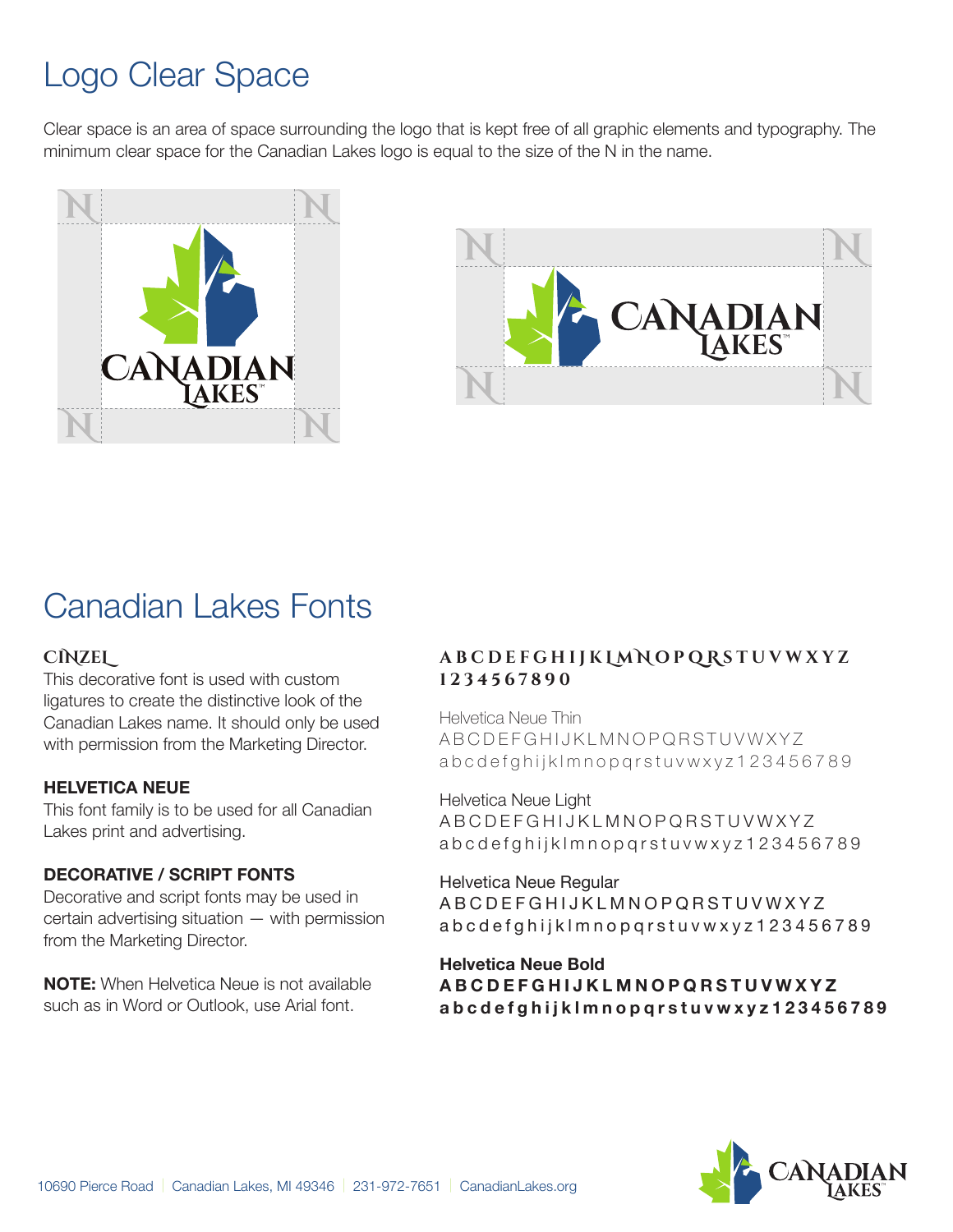### Logo Clear Space

Clear space is an area of space surrounding the logo that is kept free of all graphic elements and typography. The minimum clear space for the Canadian Lakes logo is equal to the size of the N in the name.





### Canadian Lakes Fonts

#### **CINZEL**

This decorative font is used with custom ligatures to create the distinctive look of the Canadian Lakes name. It should only be used with permission from the Marketing Director.

#### **HELVETICA NEUE**

This font family is to be used for all Canadian Lakes print and advertising.

#### **DECORATIVE / SCRIPT FONTS**

Decorative and script fonts may be used in certain advertising situation — with permission from the Marketing Director.

**NOTE:** When Helvetica Neue is not available such as in Word or Outlook, use Arial font.

#### **ABCDEFGHIJK L M N OPQ R STUVWXYZ 1234567890**

Helvetica Neue Thin ABCDEFGHIJKLMNOPQRSTUVWXYZ abcdefghijklmnopqrstuvwxyz123456789

Helvetica Neue Light ABCDEFGHIJKLMNOPQRSTUVWXYZ abcdefghijklmnopqrstuvwxyz123456789

Helvetica Neue Regular ABCDEFGHIJKLMNOPQRSTUVWXYZ abcdefghijklmnopqrstuvwxyz123456789

**Helvetica Neue Bold ABCDEFGHIJKLMNOPQRSTUVWXYZ abcdefghijklmnopqrstuvwxyz123456789**